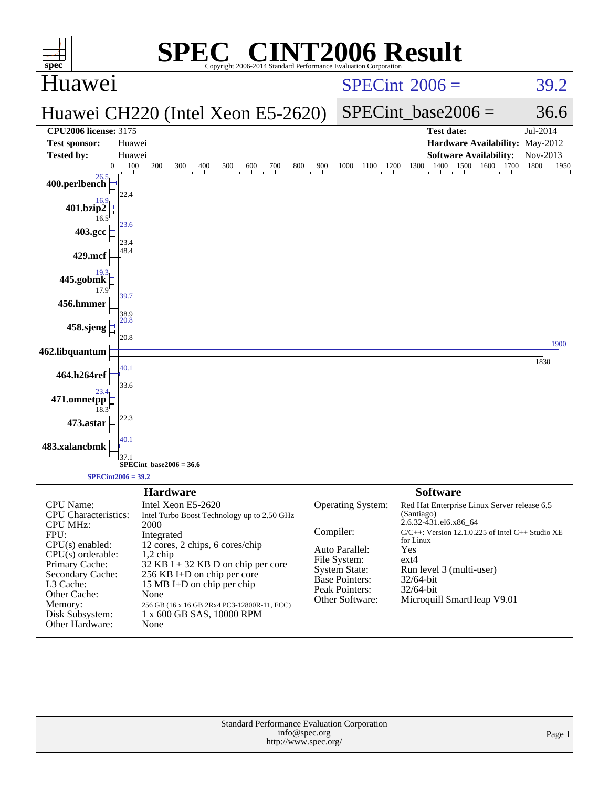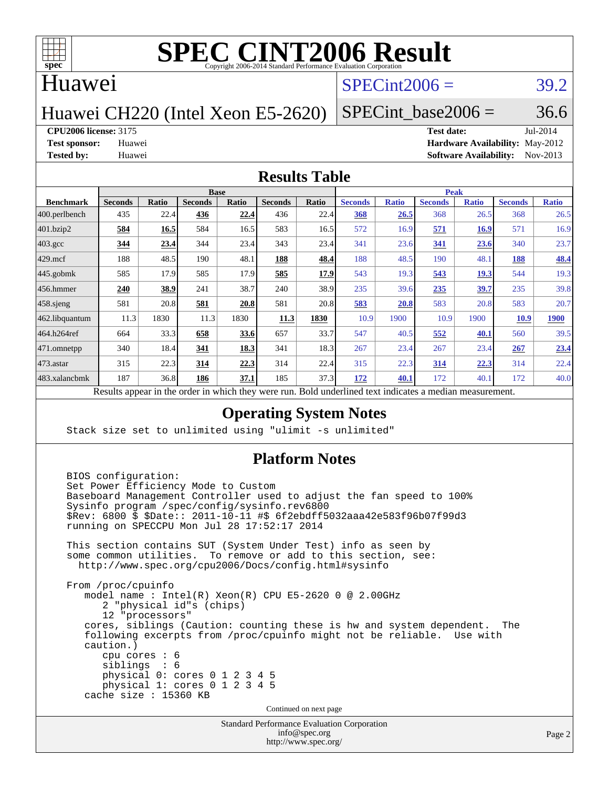

#### Huawei

#### $SPECint2006 = 39.2$  $SPECint2006 = 39.2$

### Huawei CH220 (Intel Xeon E5-2620)

#### SPECint base2006 =  $36.6$

#### **[CPU2006 license:](http://www.spec.org/auto/cpu2006/Docs/result-fields.html#CPU2006license)** 3175 **[Test date:](http://www.spec.org/auto/cpu2006/Docs/result-fields.html#Testdate)** Jul-2014

**[Test sponsor:](http://www.spec.org/auto/cpu2006/Docs/result-fields.html#Testsponsor)** Huawei **[Hardware Availability:](http://www.spec.org/auto/cpu2006/Docs/result-fields.html#HardwareAvailability)** May-2012 **[Tested by:](http://www.spec.org/auto/cpu2006/Docs/result-fields.html#Testedby)** Huawei **[Software Availability:](http://www.spec.org/auto/cpu2006/Docs/result-fields.html#SoftwareAvailability)** Nov-2013

#### **[Results Table](http://www.spec.org/auto/cpu2006/Docs/result-fields.html#ResultsTable)**

|                  | <b>Base</b>                                                           |       |                |       |                |       | <b>Peak</b>                                         |              |                |              |                |              |
|------------------|-----------------------------------------------------------------------|-------|----------------|-------|----------------|-------|-----------------------------------------------------|--------------|----------------|--------------|----------------|--------------|
| <b>Benchmark</b> | <b>Seconds</b>                                                        | Ratio | <b>Seconds</b> | Ratio | <b>Seconds</b> | Ratio | <b>Seconds</b>                                      | <b>Ratio</b> | <b>Seconds</b> | <b>Ratio</b> | <b>Seconds</b> | <b>Ratio</b> |
| 400.perlbench    | 435                                                                   | 22.4  | 436            | 22.4  | 436            | 22.4  | 368                                                 | 26.5         | 368            | 26.5         | 368            | 26.5         |
| 401.bzip2        | 584                                                                   | 16.5  | 584            | 16.5  | 583            | 16.5  | 572                                                 | 16.9         | 571            | <b>16.9</b>  | 571            | 16.9         |
| $403.\text{gcc}$ | 344                                                                   | 23.4  | 344            | 23.4  | 343            | 23.4  | 341                                                 | 23.6         | 341            | 23.6         | 340            | 23.7         |
| $429$ mcf        | 188                                                                   | 48.5  | 190            | 48.1  | 188            | 48.4  | 188                                                 | 48.5         | 190            | 48.1         | 188            | 48.4         |
| $445$ .gobmk     | 585                                                                   | 17.9  | 585            | 17.9  | 585            | 17.9  | 543                                                 | 19.3         | 543            | <b>19.3</b>  | 544            | 19.3         |
| 456.hmmer        | 240                                                                   | 38.9  | 241            | 38.7  | 240            | 38.9  | 235                                                 | 39.6         | 235            | 39.7         | 235            | 39.8         |
| $458$ .sjeng     | 581                                                                   | 20.8  | 581            | 20.8  | 581            | 20.8  | 583                                                 | 20.8         | 583            | 20.8         | 583            | 20.7         |
| 462.libquantum   | 11.3                                                                  | 1830  | 11.3           | 1830  | 11.3           | 1830  | 10.9                                                | 1900         | 10.9           | 1900         | 10.9           | <b>1900</b>  |
| 464.h264ref      | 664                                                                   | 33.3  | 658            | 33.6  | 657            | 33.7  | 547                                                 | 40.5         | 552            | 40.1         | 560            | 39.5         |
| 471.omnetpp      | 340                                                                   | 18.4  | 341            | 18.3  | 341            | 18.3  | 267                                                 | 23.4         | 267            | 23.4         | 267            | 23.4         |
| $473$ . astar    | 315                                                                   | 22.3  | 314            | 22.3  | 314            | 22.4  | 315                                                 | 22.3         | 314            | 22.3         | 314            | 22.4         |
| 483.xalancbmk    | 187                                                                   | 36.8  | 186            | 37.1  | 185            | 37.3  | 172                                                 | 40.1         | 172            | 40.1         | 172            | 40.0         |
|                  | Describe announced to the conduction of the theory of the second more |       |                |       |                |       | Deld and called to all the total control of models. |              |                |              |                |              |

Results appear in the [order in which they were run.](http://www.spec.org/auto/cpu2006/Docs/result-fields.html#RunOrder) Bold underlined text [indicates a median measurement.](http://www.spec.org/auto/cpu2006/Docs/result-fields.html#Median)

#### **[Operating System Notes](http://www.spec.org/auto/cpu2006/Docs/result-fields.html#OperatingSystemNotes)**

Stack size set to unlimited using "ulimit -s unlimited"

#### **[Platform Notes](http://www.spec.org/auto/cpu2006/Docs/result-fields.html#PlatformNotes)**

Standard Performance Evaluation Corporation BIOS configuration: Set Power Efficiency Mode to Custom Baseboard Management Controller used to adjust the fan speed to 100% Sysinfo program /spec/config/sysinfo.rev6800 \$Rev: 6800 \$ \$Date:: 2011-10-11 #\$ 6f2ebdff5032aaa42e583f96b07f99d3 running on SPECCPU Mon Jul 28 17:52:17 2014 This section contains SUT (System Under Test) info as seen by some common utilities. To remove or add to this section, see: <http://www.spec.org/cpu2006/Docs/config.html#sysinfo> From /proc/cpuinfo model name : Intel(R) Xeon(R) CPU E5-2620 0 @ 2.00GHz 2 "physical id"s (chips) 12 "processors" cores, siblings (Caution: counting these is hw and system dependent. The following excerpts from /proc/cpuinfo might not be reliable. Use with caution.) cpu cores : 6 siblings : 6 physical 0: cores 0 1 2 3 4 5 physical 1: cores 0 1 2 3 4 5 cache size : 15360 KB Continued on next page

[info@spec.org](mailto:info@spec.org) <http://www.spec.org/>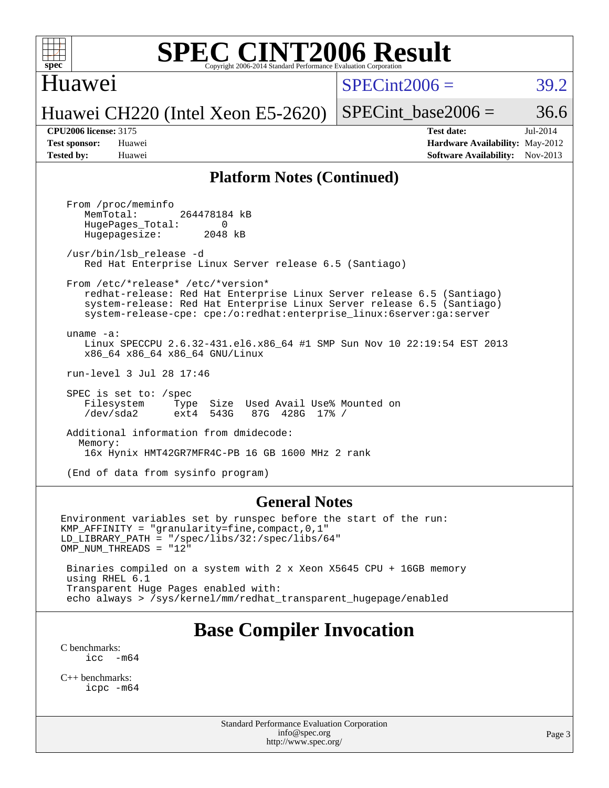

#### Huawei

 $SPECint2006 = 39.2$  $SPECint2006 = 39.2$ 

Huawei CH220 (Intel Xeon E5-2620)

SPECint base2006 =  $36.6$ 

**[CPU2006 license:](http://www.spec.org/auto/cpu2006/Docs/result-fields.html#CPU2006license)** 3175 **[Test date:](http://www.spec.org/auto/cpu2006/Docs/result-fields.html#Testdate)** Jul-2014 **[Test sponsor:](http://www.spec.org/auto/cpu2006/Docs/result-fields.html#Testsponsor)** Huawei **[Hardware Availability:](http://www.spec.org/auto/cpu2006/Docs/result-fields.html#HardwareAvailability)** May-2012 **[Tested by:](http://www.spec.org/auto/cpu2006/Docs/result-fields.html#Testedby)** Huawei **[Software Availability:](http://www.spec.org/auto/cpu2006/Docs/result-fields.html#SoftwareAvailability)** Nov-2013

#### **[Platform Notes \(Continued\)](http://www.spec.org/auto/cpu2006/Docs/result-fields.html#PlatformNotes)**

 From /proc/meminfo MemTotal: 264478184 kB HugePages\_Total: 0<br>Hugepagesize: 2048 kB Hugepagesize: /usr/bin/lsb\_release -d Red Hat Enterprise Linux Server release 6.5 (Santiago) From /etc/\*release\* /etc/\*version\* redhat-release: Red Hat Enterprise Linux Server release 6.5 (Santiago) system-release: Red Hat Enterprise Linux Server release 6.5 (Santiago) system-release-cpe: cpe:/o:redhat:enterprise\_linux:6server:ga:server uname -a: Linux SPECCPU 2.6.32-431.el6.x86\_64 #1 SMP Sun Nov 10 22:19:54 EST 2013 x86\_64 x86\_64 x86\_64 GNU/Linux run-level 3 Jul 28 17:46 SPEC is set to: /spec Filesystem Type Size Used Avail Use% Mounted on<br>
/dev/sda2 ext4 543G 87G 428G 17% / /dev/sda2 ext4 543G 87G 428G 17% / Additional information from dmidecode: Memory: 16x Hynix HMT42GR7MFR4C-PB 16 GB 1600 MHz 2 rank (End of data from sysinfo program)

#### **[General Notes](http://www.spec.org/auto/cpu2006/Docs/result-fields.html#GeneralNotes)**

Environment variables set by runspec before the start of the run: KMP\_AFFINITY = "granularity=fine,compact,0,1" LD\_LIBRARY\_PATH = "/spec/libs/32:/spec/libs/64" OMP NUM THREADS = "12" Binaries compiled on a system with 2 x Xeon X5645 CPU + 16GB memory using RHEL 6.1

 Transparent Huge Pages enabled with: echo always > /sys/kernel/mm/redhat\_transparent\_hugepage/enabled

### **[Base Compiler Invocation](http://www.spec.org/auto/cpu2006/Docs/result-fields.html#BaseCompilerInvocation)**

[C benchmarks](http://www.spec.org/auto/cpu2006/Docs/result-fields.html#Cbenchmarks):  $\text{icc}$   $-\text{m64}$ 

[C++ benchmarks:](http://www.spec.org/auto/cpu2006/Docs/result-fields.html#CXXbenchmarks) [icpc -m64](http://www.spec.org/cpu2006/results/res2014q3/cpu2006-20140731-30713.flags.html#user_CXXbase_intel_icpc_64bit_fc66a5337ce925472a5c54ad6a0de310)

> Standard Performance Evaluation Corporation [info@spec.org](mailto:info@spec.org) <http://www.spec.org/>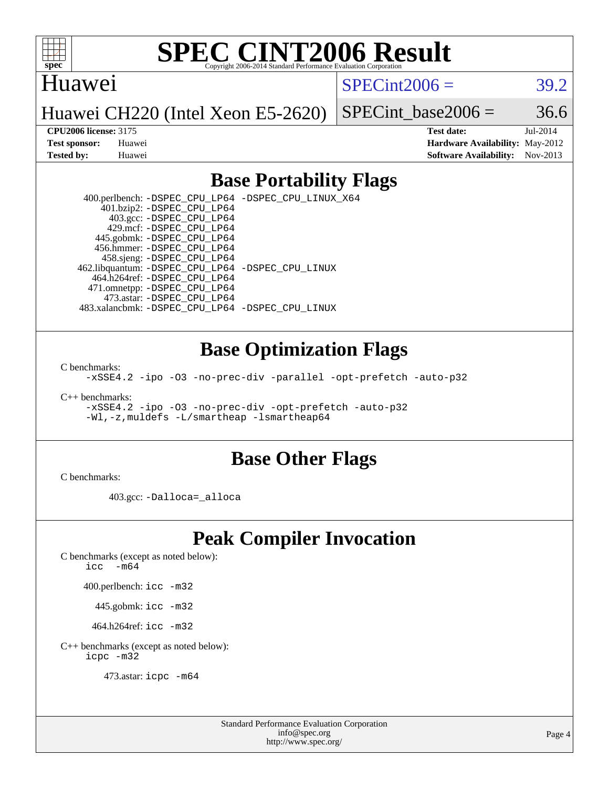

#### Huawei

 $SPECint2006 = 39.2$  $SPECint2006 = 39.2$ 

Huawei CH220 (Intel Xeon E5-2620)

SPECint base2006 =  $36.6$ 

**[CPU2006 license:](http://www.spec.org/auto/cpu2006/Docs/result-fields.html#CPU2006license)** 3175 **[Test date:](http://www.spec.org/auto/cpu2006/Docs/result-fields.html#Testdate)** Jul-2014 **[Test sponsor:](http://www.spec.org/auto/cpu2006/Docs/result-fields.html#Testsponsor)** Huawei **[Hardware Availability:](http://www.spec.org/auto/cpu2006/Docs/result-fields.html#HardwareAvailability)** May-2012 **[Tested by:](http://www.spec.org/auto/cpu2006/Docs/result-fields.html#Testedby)** Huawei **[Software Availability:](http://www.spec.org/auto/cpu2006/Docs/result-fields.html#SoftwareAvailability)** Nov-2013

#### **[Base Portability Flags](http://www.spec.org/auto/cpu2006/Docs/result-fields.html#BasePortabilityFlags)**

 400.perlbench: [-DSPEC\\_CPU\\_LP64](http://www.spec.org/cpu2006/results/res2014q3/cpu2006-20140731-30713.flags.html#b400.perlbench_basePORTABILITY_DSPEC_CPU_LP64) [-DSPEC\\_CPU\\_LINUX\\_X64](http://www.spec.org/cpu2006/results/res2014q3/cpu2006-20140731-30713.flags.html#b400.perlbench_baseCPORTABILITY_DSPEC_CPU_LINUX_X64) 401.bzip2: [-DSPEC\\_CPU\\_LP64](http://www.spec.org/cpu2006/results/res2014q3/cpu2006-20140731-30713.flags.html#suite_basePORTABILITY401_bzip2_DSPEC_CPU_LP64) 403.gcc: [-DSPEC\\_CPU\\_LP64](http://www.spec.org/cpu2006/results/res2014q3/cpu2006-20140731-30713.flags.html#suite_basePORTABILITY403_gcc_DSPEC_CPU_LP64) 429.mcf: [-DSPEC\\_CPU\\_LP64](http://www.spec.org/cpu2006/results/res2014q3/cpu2006-20140731-30713.flags.html#suite_basePORTABILITY429_mcf_DSPEC_CPU_LP64) 445.gobmk: [-DSPEC\\_CPU\\_LP64](http://www.spec.org/cpu2006/results/res2014q3/cpu2006-20140731-30713.flags.html#suite_basePORTABILITY445_gobmk_DSPEC_CPU_LP64) 456.hmmer: [-DSPEC\\_CPU\\_LP64](http://www.spec.org/cpu2006/results/res2014q3/cpu2006-20140731-30713.flags.html#suite_basePORTABILITY456_hmmer_DSPEC_CPU_LP64) 458.sjeng: [-DSPEC\\_CPU\\_LP64](http://www.spec.org/cpu2006/results/res2014q3/cpu2006-20140731-30713.flags.html#suite_basePORTABILITY458_sjeng_DSPEC_CPU_LP64) 462.libquantum: [-DSPEC\\_CPU\\_LP64](http://www.spec.org/cpu2006/results/res2014q3/cpu2006-20140731-30713.flags.html#suite_basePORTABILITY462_libquantum_DSPEC_CPU_LP64) [-DSPEC\\_CPU\\_LINUX](http://www.spec.org/cpu2006/results/res2014q3/cpu2006-20140731-30713.flags.html#b462.libquantum_baseCPORTABILITY_DSPEC_CPU_LINUX) 464.h264ref: [-DSPEC\\_CPU\\_LP64](http://www.spec.org/cpu2006/results/res2014q3/cpu2006-20140731-30713.flags.html#suite_basePORTABILITY464_h264ref_DSPEC_CPU_LP64) 471.omnetpp: [-DSPEC\\_CPU\\_LP64](http://www.spec.org/cpu2006/results/res2014q3/cpu2006-20140731-30713.flags.html#suite_basePORTABILITY471_omnetpp_DSPEC_CPU_LP64) 473.astar: [-DSPEC\\_CPU\\_LP64](http://www.spec.org/cpu2006/results/res2014q3/cpu2006-20140731-30713.flags.html#suite_basePORTABILITY473_astar_DSPEC_CPU_LP64) 483.xalancbmk: [-DSPEC\\_CPU\\_LP64](http://www.spec.org/cpu2006/results/res2014q3/cpu2006-20140731-30713.flags.html#suite_basePORTABILITY483_xalancbmk_DSPEC_CPU_LP64) [-DSPEC\\_CPU\\_LINUX](http://www.spec.org/cpu2006/results/res2014q3/cpu2006-20140731-30713.flags.html#b483.xalancbmk_baseCXXPORTABILITY_DSPEC_CPU_LINUX)

#### **[Base Optimization Flags](http://www.spec.org/auto/cpu2006/Docs/result-fields.html#BaseOptimizationFlags)**

[C benchmarks](http://www.spec.org/auto/cpu2006/Docs/result-fields.html#Cbenchmarks):

[-xSSE4.2](http://www.spec.org/cpu2006/results/res2014q3/cpu2006-20140731-30713.flags.html#user_CCbase_f-xSSE42_f91528193cf0b216347adb8b939d4107) [-ipo](http://www.spec.org/cpu2006/results/res2014q3/cpu2006-20140731-30713.flags.html#user_CCbase_f-ipo) [-O3](http://www.spec.org/cpu2006/results/res2014q3/cpu2006-20140731-30713.flags.html#user_CCbase_f-O3) [-no-prec-div](http://www.spec.org/cpu2006/results/res2014q3/cpu2006-20140731-30713.flags.html#user_CCbase_f-no-prec-div) [-parallel](http://www.spec.org/cpu2006/results/res2014q3/cpu2006-20140731-30713.flags.html#user_CCbase_f-parallel) [-opt-prefetch](http://www.spec.org/cpu2006/results/res2014q3/cpu2006-20140731-30713.flags.html#user_CCbase_f-opt-prefetch) [-auto-p32](http://www.spec.org/cpu2006/results/res2014q3/cpu2006-20140731-30713.flags.html#user_CCbase_f-auto-p32)

[C++ benchmarks:](http://www.spec.org/auto/cpu2006/Docs/result-fields.html#CXXbenchmarks)

[-xSSE4.2](http://www.spec.org/cpu2006/results/res2014q3/cpu2006-20140731-30713.flags.html#user_CXXbase_f-xSSE42_f91528193cf0b216347adb8b939d4107) [-ipo](http://www.spec.org/cpu2006/results/res2014q3/cpu2006-20140731-30713.flags.html#user_CXXbase_f-ipo) [-O3](http://www.spec.org/cpu2006/results/res2014q3/cpu2006-20140731-30713.flags.html#user_CXXbase_f-O3) [-no-prec-div](http://www.spec.org/cpu2006/results/res2014q3/cpu2006-20140731-30713.flags.html#user_CXXbase_f-no-prec-div) [-opt-prefetch](http://www.spec.org/cpu2006/results/res2014q3/cpu2006-20140731-30713.flags.html#user_CXXbase_f-opt-prefetch) [-auto-p32](http://www.spec.org/cpu2006/results/res2014q3/cpu2006-20140731-30713.flags.html#user_CXXbase_f-auto-p32) [-Wl,-z,muldefs](http://www.spec.org/cpu2006/results/res2014q3/cpu2006-20140731-30713.flags.html#user_CXXbase_link_force_multiple1_74079c344b956b9658436fd1b6dd3a8a) [-L/smartheap -lsmartheap64](http://www.spec.org/cpu2006/results/res2014q3/cpu2006-20140731-30713.flags.html#user_CXXbase_SmartHeap64_5e654037dadeae1fe403ab4b4466e60b)

#### **[Base Other Flags](http://www.spec.org/auto/cpu2006/Docs/result-fields.html#BaseOtherFlags)**

[C benchmarks](http://www.spec.org/auto/cpu2006/Docs/result-fields.html#Cbenchmarks):

403.gcc: [-Dalloca=\\_alloca](http://www.spec.org/cpu2006/results/res2014q3/cpu2006-20140731-30713.flags.html#b403.gcc_baseEXTRA_CFLAGS_Dalloca_be3056838c12de2578596ca5467af7f3)

### **[Peak Compiler Invocation](http://www.spec.org/auto/cpu2006/Docs/result-fields.html#PeakCompilerInvocation)**

[C benchmarks \(except as noted below\)](http://www.spec.org/auto/cpu2006/Docs/result-fields.html#Cbenchmarksexceptasnotedbelow):

icc  $-m64$ 

400.perlbench: [icc -m32](http://www.spec.org/cpu2006/results/res2014q3/cpu2006-20140731-30713.flags.html#user_peakCCLD400_perlbench_intel_icc_a6a621f8d50482236b970c6ac5f55f93)

445.gobmk: [icc -m32](http://www.spec.org/cpu2006/results/res2014q3/cpu2006-20140731-30713.flags.html#user_peakCCLD445_gobmk_intel_icc_a6a621f8d50482236b970c6ac5f55f93)

464.h264ref: [icc -m32](http://www.spec.org/cpu2006/results/res2014q3/cpu2006-20140731-30713.flags.html#user_peakCCLD464_h264ref_intel_icc_a6a621f8d50482236b970c6ac5f55f93)

[C++ benchmarks \(except as noted below\):](http://www.spec.org/auto/cpu2006/Docs/result-fields.html#CXXbenchmarksexceptasnotedbelow) [icpc -m32](http://www.spec.org/cpu2006/results/res2014q3/cpu2006-20140731-30713.flags.html#user_CXXpeak_intel_icpc_4e5a5ef1a53fd332b3c49e69c3330699)

473.astar: [icpc -m64](http://www.spec.org/cpu2006/results/res2014q3/cpu2006-20140731-30713.flags.html#user_peakCXXLD473_astar_intel_icpc_64bit_fc66a5337ce925472a5c54ad6a0de310)

Page 4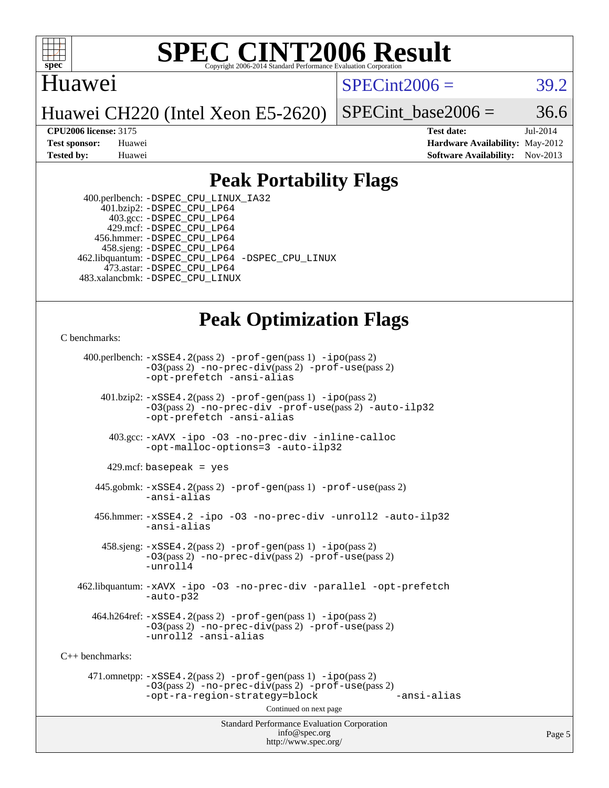

#### Huawei

 $SPECint2006 = 39.2$  $SPECint2006 = 39.2$ 

Huawei CH220 (Intel Xeon E5-2620)

SPECint base2006 =  $36.6$ 

**[CPU2006 license:](http://www.spec.org/auto/cpu2006/Docs/result-fields.html#CPU2006license)** 3175 **[Test date:](http://www.spec.org/auto/cpu2006/Docs/result-fields.html#Testdate)** Jul-2014 **[Test sponsor:](http://www.spec.org/auto/cpu2006/Docs/result-fields.html#Testsponsor)** Huawei **[Hardware Availability:](http://www.spec.org/auto/cpu2006/Docs/result-fields.html#HardwareAvailability)** May-2012 **[Tested by:](http://www.spec.org/auto/cpu2006/Docs/result-fields.html#Testedby)** Huawei **[Software Availability:](http://www.spec.org/auto/cpu2006/Docs/result-fields.html#SoftwareAvailability)** Nov-2013

#### **[Peak Portability Flags](http://www.spec.org/auto/cpu2006/Docs/result-fields.html#PeakPortabilityFlags)**

 400.perlbench: [-DSPEC\\_CPU\\_LINUX\\_IA32](http://www.spec.org/cpu2006/results/res2014q3/cpu2006-20140731-30713.flags.html#b400.perlbench_peakCPORTABILITY_DSPEC_CPU_LINUX_IA32) 401.bzip2: [-DSPEC\\_CPU\\_LP64](http://www.spec.org/cpu2006/results/res2014q3/cpu2006-20140731-30713.flags.html#suite_peakPORTABILITY401_bzip2_DSPEC_CPU_LP64) 403.gcc: [-DSPEC\\_CPU\\_LP64](http://www.spec.org/cpu2006/results/res2014q3/cpu2006-20140731-30713.flags.html#suite_peakPORTABILITY403_gcc_DSPEC_CPU_LP64) 429.mcf: [-DSPEC\\_CPU\\_LP64](http://www.spec.org/cpu2006/results/res2014q3/cpu2006-20140731-30713.flags.html#suite_peakPORTABILITY429_mcf_DSPEC_CPU_LP64) 456.hmmer: [-DSPEC\\_CPU\\_LP64](http://www.spec.org/cpu2006/results/res2014q3/cpu2006-20140731-30713.flags.html#suite_peakPORTABILITY456_hmmer_DSPEC_CPU_LP64) 458.sjeng: [-DSPEC\\_CPU\\_LP64](http://www.spec.org/cpu2006/results/res2014q3/cpu2006-20140731-30713.flags.html#suite_peakPORTABILITY458_sjeng_DSPEC_CPU_LP64) 462.libquantum: [-DSPEC\\_CPU\\_LP64](http://www.spec.org/cpu2006/results/res2014q3/cpu2006-20140731-30713.flags.html#suite_peakPORTABILITY462_libquantum_DSPEC_CPU_LP64) [-DSPEC\\_CPU\\_LINUX](http://www.spec.org/cpu2006/results/res2014q3/cpu2006-20140731-30713.flags.html#b462.libquantum_peakCPORTABILITY_DSPEC_CPU_LINUX) 473.astar: [-DSPEC\\_CPU\\_LP64](http://www.spec.org/cpu2006/results/res2014q3/cpu2006-20140731-30713.flags.html#suite_peakPORTABILITY473_astar_DSPEC_CPU_LP64) 483.xalancbmk: [-DSPEC\\_CPU\\_LINUX](http://www.spec.org/cpu2006/results/res2014q3/cpu2006-20140731-30713.flags.html#b483.xalancbmk_peakCXXPORTABILITY_DSPEC_CPU_LINUX)

### **[Peak Optimization Flags](http://www.spec.org/auto/cpu2006/Docs/result-fields.html#PeakOptimizationFlags)**

[C benchmarks](http://www.spec.org/auto/cpu2006/Docs/result-fields.html#Cbenchmarks):

Standard Performance Evaluation Corporation [info@spec.org](mailto:info@spec.org) 400.perlbench: [-xSSE4.2](http://www.spec.org/cpu2006/results/res2014q3/cpu2006-20140731-30713.flags.html#user_peakPASS2_CFLAGSPASS2_LDCFLAGS400_perlbench_f-xSSE42_f91528193cf0b216347adb8b939d4107)(pass 2) [-prof-gen](http://www.spec.org/cpu2006/results/res2014q3/cpu2006-20140731-30713.flags.html#user_peakPASS1_CFLAGSPASS1_LDCFLAGS400_perlbench_prof_gen_e43856698f6ca7b7e442dfd80e94a8fc)(pass 1) [-ipo](http://www.spec.org/cpu2006/results/res2014q3/cpu2006-20140731-30713.flags.html#user_peakPASS2_CFLAGSPASS2_LDCFLAGS400_perlbench_f-ipo)(pass 2) [-O3](http://www.spec.org/cpu2006/results/res2014q3/cpu2006-20140731-30713.flags.html#user_peakPASS2_CFLAGSPASS2_LDCFLAGS400_perlbench_f-O3)(pass 2) [-no-prec-div](http://www.spec.org/cpu2006/results/res2014q3/cpu2006-20140731-30713.flags.html#user_peakPASS2_CFLAGSPASS2_LDCFLAGS400_perlbench_f-no-prec-div)(pass 2) [-prof-use](http://www.spec.org/cpu2006/results/res2014q3/cpu2006-20140731-30713.flags.html#user_peakPASS2_CFLAGSPASS2_LDCFLAGS400_perlbench_prof_use_bccf7792157ff70d64e32fe3e1250b55)(pass 2) [-opt-prefetch](http://www.spec.org/cpu2006/results/res2014q3/cpu2006-20140731-30713.flags.html#user_peakCOPTIMIZE400_perlbench_f-opt-prefetch) [-ansi-alias](http://www.spec.org/cpu2006/results/res2014q3/cpu2006-20140731-30713.flags.html#user_peakCOPTIMIZE400_perlbench_f-ansi-alias) 401.bzip2: [-xSSE4.2](http://www.spec.org/cpu2006/results/res2014q3/cpu2006-20140731-30713.flags.html#user_peakPASS2_CFLAGSPASS2_LDCFLAGS401_bzip2_f-xSSE42_f91528193cf0b216347adb8b939d4107)(pass 2) [-prof-gen](http://www.spec.org/cpu2006/results/res2014q3/cpu2006-20140731-30713.flags.html#user_peakPASS1_CFLAGSPASS1_LDCFLAGS401_bzip2_prof_gen_e43856698f6ca7b7e442dfd80e94a8fc)(pass 1) [-ipo](http://www.spec.org/cpu2006/results/res2014q3/cpu2006-20140731-30713.flags.html#user_peakPASS2_CFLAGSPASS2_LDCFLAGS401_bzip2_f-ipo)(pass 2) [-O3](http://www.spec.org/cpu2006/results/res2014q3/cpu2006-20140731-30713.flags.html#user_peakPASS2_CFLAGSPASS2_LDCFLAGS401_bzip2_f-O3)(pass 2) [-no-prec-div](http://www.spec.org/cpu2006/results/res2014q3/cpu2006-20140731-30713.flags.html#user_peakCOPTIMIZEPASS2_CFLAGSPASS2_LDCFLAGS401_bzip2_f-no-prec-div) [-prof-use](http://www.spec.org/cpu2006/results/res2014q3/cpu2006-20140731-30713.flags.html#user_peakPASS2_CFLAGSPASS2_LDCFLAGS401_bzip2_prof_use_bccf7792157ff70d64e32fe3e1250b55)(pass 2) [-auto-ilp32](http://www.spec.org/cpu2006/results/res2014q3/cpu2006-20140731-30713.flags.html#user_peakCOPTIMIZE401_bzip2_f-auto-ilp32) [-opt-prefetch](http://www.spec.org/cpu2006/results/res2014q3/cpu2006-20140731-30713.flags.html#user_peakCOPTIMIZE401_bzip2_f-opt-prefetch) [-ansi-alias](http://www.spec.org/cpu2006/results/res2014q3/cpu2006-20140731-30713.flags.html#user_peakCOPTIMIZE401_bzip2_f-ansi-alias) 403.gcc: [-xAVX](http://www.spec.org/cpu2006/results/res2014q3/cpu2006-20140731-30713.flags.html#user_peakCOPTIMIZE403_gcc_f-xAVX) [-ipo](http://www.spec.org/cpu2006/results/res2014q3/cpu2006-20140731-30713.flags.html#user_peakCOPTIMIZE403_gcc_f-ipo) [-O3](http://www.spec.org/cpu2006/results/res2014q3/cpu2006-20140731-30713.flags.html#user_peakCOPTIMIZE403_gcc_f-O3) [-no-prec-div](http://www.spec.org/cpu2006/results/res2014q3/cpu2006-20140731-30713.flags.html#user_peakCOPTIMIZE403_gcc_f-no-prec-div) [-inline-calloc](http://www.spec.org/cpu2006/results/res2014q3/cpu2006-20140731-30713.flags.html#user_peakCOPTIMIZE403_gcc_f-inline-calloc) [-opt-malloc-options=3](http://www.spec.org/cpu2006/results/res2014q3/cpu2006-20140731-30713.flags.html#user_peakCOPTIMIZE403_gcc_f-opt-malloc-options_13ab9b803cf986b4ee62f0a5998c2238) [-auto-ilp32](http://www.spec.org/cpu2006/results/res2014q3/cpu2006-20140731-30713.flags.html#user_peakCOPTIMIZE403_gcc_f-auto-ilp32)  $429$ .mcf: basepeak = yes 445.gobmk: [-xSSE4.2](http://www.spec.org/cpu2006/results/res2014q3/cpu2006-20140731-30713.flags.html#user_peakPASS2_CFLAGSPASS2_LDCFLAGS445_gobmk_f-xSSE42_f91528193cf0b216347adb8b939d4107)(pass 2) [-prof-gen](http://www.spec.org/cpu2006/results/res2014q3/cpu2006-20140731-30713.flags.html#user_peakPASS1_CFLAGSPASS1_LDCFLAGS445_gobmk_prof_gen_e43856698f6ca7b7e442dfd80e94a8fc)(pass 1) [-prof-use](http://www.spec.org/cpu2006/results/res2014q3/cpu2006-20140731-30713.flags.html#user_peakPASS2_CFLAGSPASS2_LDCFLAGS445_gobmk_prof_use_bccf7792157ff70d64e32fe3e1250b55)(pass 2) [-ansi-alias](http://www.spec.org/cpu2006/results/res2014q3/cpu2006-20140731-30713.flags.html#user_peakCOPTIMIZE445_gobmk_f-ansi-alias) 456.hmmer: [-xSSE4.2](http://www.spec.org/cpu2006/results/res2014q3/cpu2006-20140731-30713.flags.html#user_peakCOPTIMIZE456_hmmer_f-xSSE42_f91528193cf0b216347adb8b939d4107) [-ipo](http://www.spec.org/cpu2006/results/res2014q3/cpu2006-20140731-30713.flags.html#user_peakCOPTIMIZE456_hmmer_f-ipo) [-O3](http://www.spec.org/cpu2006/results/res2014q3/cpu2006-20140731-30713.flags.html#user_peakCOPTIMIZE456_hmmer_f-O3) [-no-prec-div](http://www.spec.org/cpu2006/results/res2014q3/cpu2006-20140731-30713.flags.html#user_peakCOPTIMIZE456_hmmer_f-no-prec-div) [-unroll2](http://www.spec.org/cpu2006/results/res2014q3/cpu2006-20140731-30713.flags.html#user_peakCOPTIMIZE456_hmmer_f-unroll_784dae83bebfb236979b41d2422d7ec2) [-auto-ilp32](http://www.spec.org/cpu2006/results/res2014q3/cpu2006-20140731-30713.flags.html#user_peakCOPTIMIZE456_hmmer_f-auto-ilp32) [-ansi-alias](http://www.spec.org/cpu2006/results/res2014q3/cpu2006-20140731-30713.flags.html#user_peakCOPTIMIZE456_hmmer_f-ansi-alias) 458.sjeng: [-xSSE4.2](http://www.spec.org/cpu2006/results/res2014q3/cpu2006-20140731-30713.flags.html#user_peakPASS2_CFLAGSPASS2_LDCFLAGS458_sjeng_f-xSSE42_f91528193cf0b216347adb8b939d4107)(pass 2) [-prof-gen](http://www.spec.org/cpu2006/results/res2014q3/cpu2006-20140731-30713.flags.html#user_peakPASS1_CFLAGSPASS1_LDCFLAGS458_sjeng_prof_gen_e43856698f6ca7b7e442dfd80e94a8fc)(pass 1) [-ipo](http://www.spec.org/cpu2006/results/res2014q3/cpu2006-20140731-30713.flags.html#user_peakPASS2_CFLAGSPASS2_LDCFLAGS458_sjeng_f-ipo)(pass 2) [-O3](http://www.spec.org/cpu2006/results/res2014q3/cpu2006-20140731-30713.flags.html#user_peakPASS2_CFLAGSPASS2_LDCFLAGS458_sjeng_f-O3)(pass 2) [-no-prec-div](http://www.spec.org/cpu2006/results/res2014q3/cpu2006-20140731-30713.flags.html#user_peakPASS2_CFLAGSPASS2_LDCFLAGS458_sjeng_f-no-prec-div)(pass 2) [-prof-use](http://www.spec.org/cpu2006/results/res2014q3/cpu2006-20140731-30713.flags.html#user_peakPASS2_CFLAGSPASS2_LDCFLAGS458_sjeng_prof_use_bccf7792157ff70d64e32fe3e1250b55)(pass 2) [-unroll4](http://www.spec.org/cpu2006/results/res2014q3/cpu2006-20140731-30713.flags.html#user_peakCOPTIMIZE458_sjeng_f-unroll_4e5e4ed65b7fd20bdcd365bec371b81f) 462.libquantum: [-xAVX](http://www.spec.org/cpu2006/results/res2014q3/cpu2006-20140731-30713.flags.html#user_peakCOPTIMIZE462_libquantum_f-xAVX) [-ipo](http://www.spec.org/cpu2006/results/res2014q3/cpu2006-20140731-30713.flags.html#user_peakCOPTIMIZE462_libquantum_f-ipo) [-O3](http://www.spec.org/cpu2006/results/res2014q3/cpu2006-20140731-30713.flags.html#user_peakCOPTIMIZE462_libquantum_f-O3) [-no-prec-div](http://www.spec.org/cpu2006/results/res2014q3/cpu2006-20140731-30713.flags.html#user_peakCOPTIMIZE462_libquantum_f-no-prec-div) [-parallel](http://www.spec.org/cpu2006/results/res2014q3/cpu2006-20140731-30713.flags.html#user_peakCOPTIMIZE462_libquantum_f-parallel) [-opt-prefetch](http://www.spec.org/cpu2006/results/res2014q3/cpu2006-20140731-30713.flags.html#user_peakCOPTIMIZE462_libquantum_f-opt-prefetch) [-auto-p32](http://www.spec.org/cpu2006/results/res2014q3/cpu2006-20140731-30713.flags.html#user_peakCOPTIMIZE462_libquantum_f-auto-p32)  $464.h264$ ref:  $-xSSE4$ .  $2(pass 2)$  [-prof-gen](http://www.spec.org/cpu2006/results/res2014q3/cpu2006-20140731-30713.flags.html#user_peakPASS1_CFLAGSPASS1_LDCFLAGS464_h264ref_prof_gen_e43856698f6ca7b7e442dfd80e94a8fc)(pass 1) [-ipo](http://www.spec.org/cpu2006/results/res2014q3/cpu2006-20140731-30713.flags.html#user_peakPASS2_CFLAGSPASS2_LDCFLAGS464_h264ref_f-ipo)(pass 2) [-O3](http://www.spec.org/cpu2006/results/res2014q3/cpu2006-20140731-30713.flags.html#user_peakPASS2_CFLAGSPASS2_LDCFLAGS464_h264ref_f-O3)(pass 2) [-no-prec-div](http://www.spec.org/cpu2006/results/res2014q3/cpu2006-20140731-30713.flags.html#user_peakPASS2_CFLAGSPASS2_LDCFLAGS464_h264ref_f-no-prec-div)(pass 2) [-prof-use](http://www.spec.org/cpu2006/results/res2014q3/cpu2006-20140731-30713.flags.html#user_peakPASS2_CFLAGSPASS2_LDCFLAGS464_h264ref_prof_use_bccf7792157ff70d64e32fe3e1250b55)(pass 2) [-unroll2](http://www.spec.org/cpu2006/results/res2014q3/cpu2006-20140731-30713.flags.html#user_peakCOPTIMIZE464_h264ref_f-unroll_784dae83bebfb236979b41d2422d7ec2) [-ansi-alias](http://www.spec.org/cpu2006/results/res2014q3/cpu2006-20140731-30713.flags.html#user_peakCOPTIMIZE464_h264ref_f-ansi-alias) [C++ benchmarks:](http://www.spec.org/auto/cpu2006/Docs/result-fields.html#CXXbenchmarks) 471.omnetpp: [-xSSE4.2](http://www.spec.org/cpu2006/results/res2014q3/cpu2006-20140731-30713.flags.html#user_peakPASS2_CXXFLAGSPASS2_LDCXXFLAGS471_omnetpp_f-xSSE42_f91528193cf0b216347adb8b939d4107)(pass 2) [-prof-gen](http://www.spec.org/cpu2006/results/res2014q3/cpu2006-20140731-30713.flags.html#user_peakPASS1_CXXFLAGSPASS1_LDCXXFLAGS471_omnetpp_prof_gen_e43856698f6ca7b7e442dfd80e94a8fc)(pass 1) [-ipo](http://www.spec.org/cpu2006/results/res2014q3/cpu2006-20140731-30713.flags.html#user_peakPASS2_CXXFLAGSPASS2_LDCXXFLAGS471_omnetpp_f-ipo)(pass 2) [-O3](http://www.spec.org/cpu2006/results/res2014q3/cpu2006-20140731-30713.flags.html#user_peakPASS2_CXXFLAGSPASS2_LDCXXFLAGS471_omnetpp_f-O3)(pass 2) [-no-prec-div](http://www.spec.org/cpu2006/results/res2014q3/cpu2006-20140731-30713.flags.html#user_peakPASS2_CXXFLAGSPASS2_LDCXXFLAGS471_omnetpp_f-no-prec-div)(pass 2) [-prof-use](http://www.spec.org/cpu2006/results/res2014q3/cpu2006-20140731-30713.flags.html#user_peakPASS2_CXXFLAGSPASS2_LDCXXFLAGS471_omnetpp_prof_use_bccf7792157ff70d64e32fe3e1250b55)(pass 2) [-opt-ra-region-strategy=block](http://www.spec.org/cpu2006/results/res2014q3/cpu2006-20140731-30713.flags.html#user_peakCXXOPTIMIZE471_omnetpp_f-opt-ra-region-strategy_5382940c29ea30302d682fc74bfe0147) [-ansi-alias](http://www.spec.org/cpu2006/results/res2014q3/cpu2006-20140731-30713.flags.html#user_peakCXXOPTIMIZE471_omnetpp_f-ansi-alias) Continued on next page

<http://www.spec.org/>